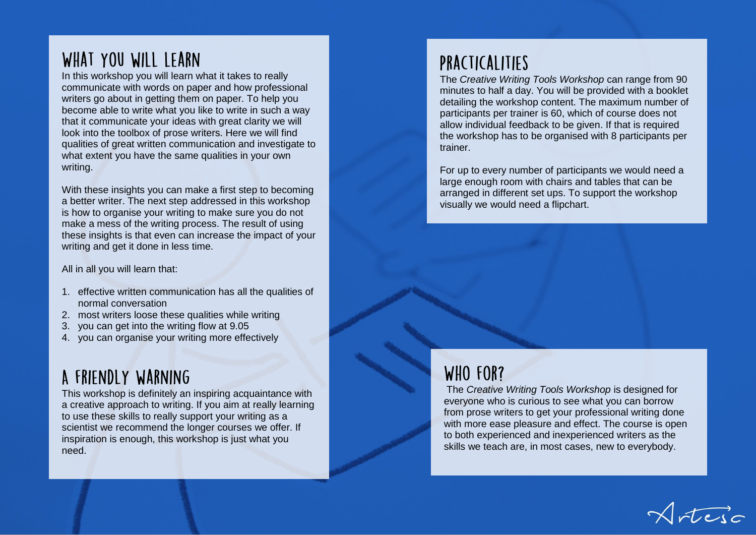## WHAT YOU WILL LEARN

In this workshop you will learn what it takes to really communicate with words on paper and how professional writers go about in getting them on paper. To help you become able to write what you like to write in such a way that it communicate your ideas with great clarity we will look into the toolbox of prose writers. Here we will find qualities of great written communication and investigate to what extent you have the same qualities in your own writing.

With these insights you can make a first step to becoming a better writer. The next step addressed in this workshop is how to organise your writing to make sure you do not make a mess of the writing process. The result of using these insights is that even can increase the impact of your writing and get it done in less time.

All in all you will learn that:

- 1. effective written communication has all the qualities of normal conversation
- 2. most writers loose these qualities while writing
- 3. you can get into the writing flow at 9.05
- 4. you can organise your writing more effectively

# A FRIENDLY WARNING

This workshop is definitely an inspiring acquaintance with a creative approach to writing. If you aim at really learning to use these skills to really support your writing as a scientist we recommend the longer courses we offer. If inspiration is enough, this workshop is just what you need.

## PRACTICALITIES

The *Creative Writing Tools Workshop* can range from 90 minutes to half a day. You will be provided with a booklet detailing the workshop content. The maximum number of participants per trainer is 60, which of course does not allow individual feedback to be given. If that is required the workshop has to be organised with 8 participants per trainer.

For up to every number of participants we would need a large enough room with chairs and tables that can be arranged in different set ups. To support the workshop visually we would need a flipchart.

### WHO FOR?

The *Creative Writing Tools Workshop* is designed for everyone who is curious to see what you can borrow from prose writers to get your professional writing done with more ease pleasure and effect. The course is open to both experienced and inexperienced writers as the skills we teach are, in most cases, new to everybody.